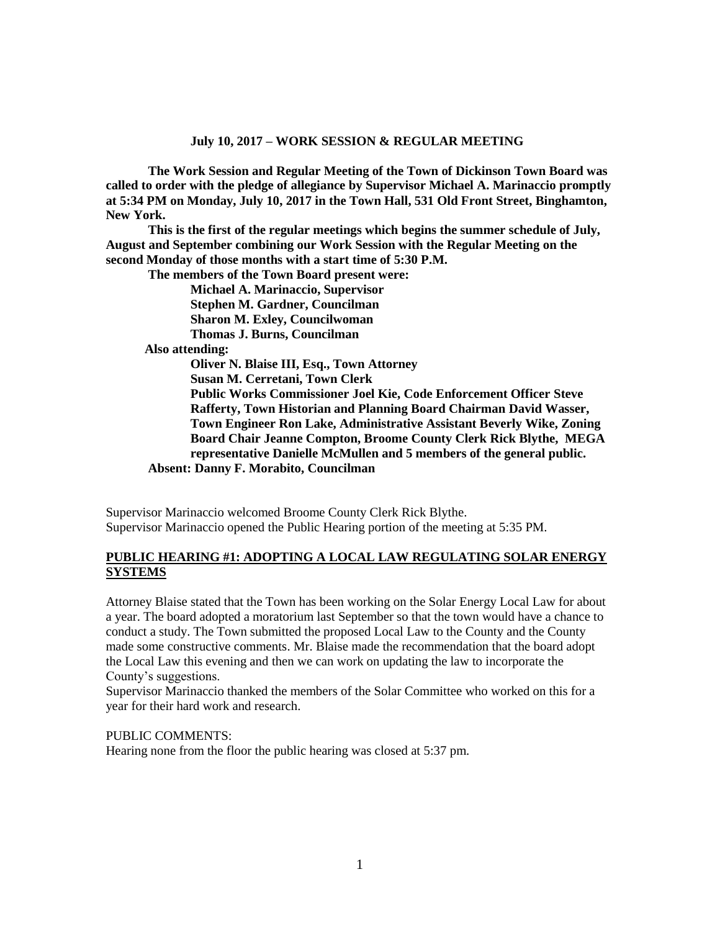**The Work Session and Regular Meeting of the Town of Dickinson Town Board was called to order with the pledge of allegiance by Supervisor Michael A. Marinaccio promptly at 5:34 PM on Monday, July 10, 2017 in the Town Hall, 531 Old Front Street, Binghamton, New York.** 

**This is the first of the regular meetings which begins the summer schedule of July, August and September combining our Work Session with the Regular Meeting on the second Monday of those months with a start time of 5:30 P.M.**

**The members of the Town Board present were:**

**Michael A. Marinaccio, Supervisor Stephen M. Gardner, Councilman Sharon M. Exley, Councilwoman Thomas J. Burns, Councilman Also attending: Oliver N. Blaise III, Esq., Town Attorney**

**Susan M. Cerretani, Town Clerk Public Works Commissioner Joel Kie, Code Enforcement Officer Steve Rafferty, Town Historian and Planning Board Chairman David Wasser, Town Engineer Ron Lake, Administrative Assistant Beverly Wike, Zoning Board Chair Jeanne Compton, Broome County Clerk Rick Blythe, MEGA representative Danielle McMullen and 5 members of the general public. Absent: Danny F. Morabito, Councilman**

Supervisor Marinaccio welcomed Broome County Clerk Rick Blythe. Supervisor Marinaccio opened the Public Hearing portion of the meeting at 5:35 PM.

## **PUBLIC HEARING #1: ADOPTING A LOCAL LAW REGULATING SOLAR ENERGY SYSTEMS**

Attorney Blaise stated that the Town has been working on the Solar Energy Local Law for about a year. The board adopted a moratorium last September so that the town would have a chance to conduct a study. The Town submitted the proposed Local Law to the County and the County made some constructive comments. Mr. Blaise made the recommendation that the board adopt the Local Law this evening and then we can work on updating the law to incorporate the County's suggestions.

Supervisor Marinaccio thanked the members of the Solar Committee who worked on this for a year for their hard work and research.

PUBLIC COMMENTS:

Hearing none from the floor the public hearing was closed at 5:37 pm.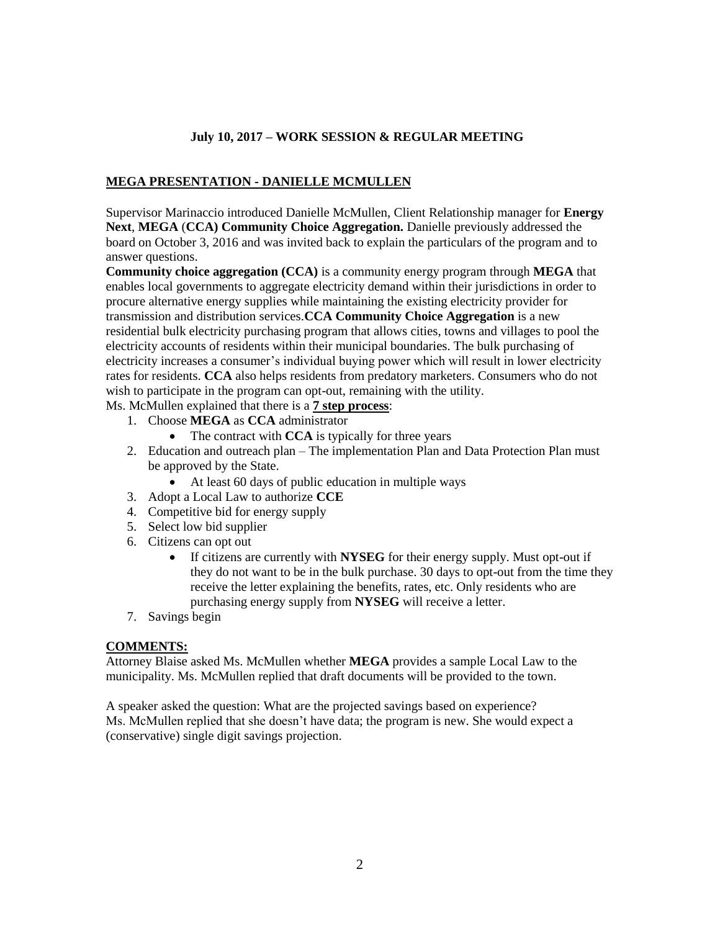# **MEGA PRESENTATION - DANIELLE MCMULLEN**

Supervisor Marinaccio introduced Danielle McMullen, Client Relationship manager for **Energy Next**, **MEGA** (**CCA) Community Choice Aggregation.** Danielle previously addressed the board on October 3, 2016 and was invited back to explain the particulars of the program and to answer questions.

**Community choice aggregation (CCA)** is a community energy program through **MEGA** that enables local governments to aggregate electricity demand within their jurisdictions in order to procure alternative energy supplies while maintaining the existing electricity provider for transmission and distribution services.**CCA Community Choice Aggregation** is a new residential bulk electricity purchasing program that allows cities, towns and villages to pool the electricity accounts of residents within their municipal boundaries. The bulk purchasing of electricity increases a consumer's individual buying power which will result in lower electricity rates for residents. **CCA** also helps residents from predatory marketers. Consumers who do not wish to participate in the program can opt-out, remaining with the utility.

- Ms. McMullen explained that there is a **7 step process**:
	- 1. Choose **MEGA** as **CCA** administrator
		- The contract with **CCA** is typically for three years
	- 2. Education and outreach plan The implementation Plan and Data Protection Plan must be approved by the State.
		- At least 60 days of public education in multiple ways
	- 3. Adopt a Local Law to authorize **CCE**
	- 4. Competitive bid for energy supply
	- 5. Select low bid supplier
	- 6. Citizens can opt out
		- If citizens are currently with **NYSEG** for their energy supply. Must opt-out if they do not want to be in the bulk purchase. 30 days to opt-out from the time they receive the letter explaining the benefits, rates, etc. Only residents who are purchasing energy supply from **NYSEG** will receive a letter.
	- 7. Savings begin

## **COMMENTS:**

Attorney Blaise asked Ms. McMullen whether **MEGA** provides a sample Local Law to the municipality. Ms. McMullen replied that draft documents will be provided to the town.

A speaker asked the question: What are the projected savings based on experience? Ms. McMullen replied that she doesn't have data; the program is new. She would expect a (conservative) single digit savings projection.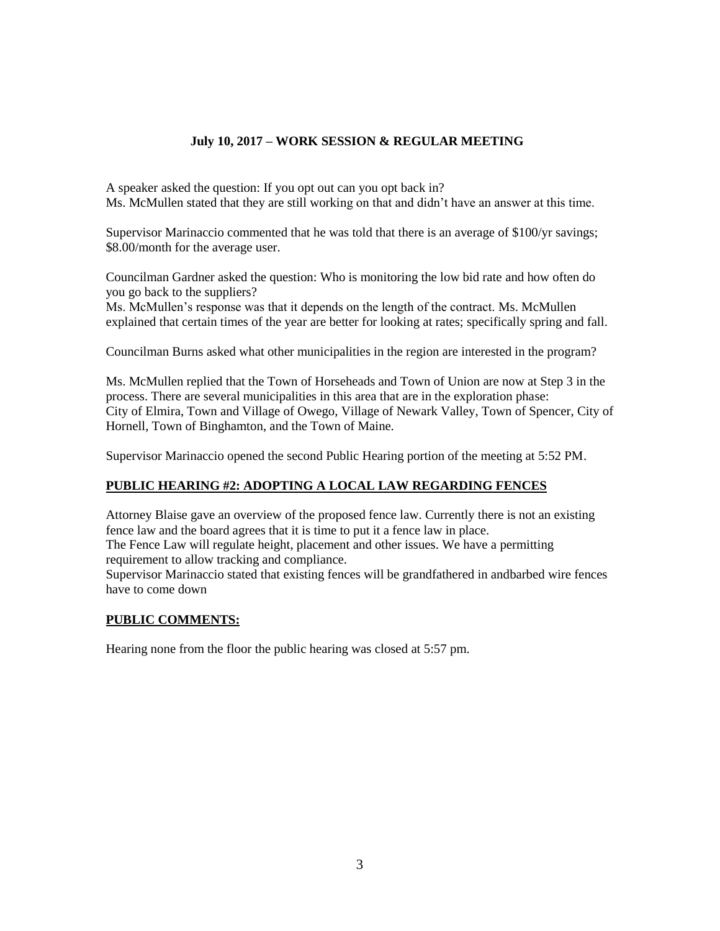A speaker asked the question: If you opt out can you opt back in? Ms. McMullen stated that they are still working on that and didn't have an answer at this time.

Supervisor Marinaccio commented that he was told that there is an average of \$100/yr savings; \$8.00/month for the average user.

Councilman Gardner asked the question: Who is monitoring the low bid rate and how often do you go back to the suppliers?

Ms. McMullen's response was that it depends on the length of the contract. Ms. McMullen explained that certain times of the year are better for looking at rates; specifically spring and fall.

Councilman Burns asked what other municipalities in the region are interested in the program?

Ms. McMullen replied that the Town of Horseheads and Town of Union are now at Step 3 in the process. There are several municipalities in this area that are in the exploration phase: City of Elmira, Town and Village of Owego, Village of Newark Valley, Town of Spencer, City of Hornell, Town of Binghamton, and the Town of Maine.

Supervisor Marinaccio opened the second Public Hearing portion of the meeting at 5:52 PM.

# **PUBLIC HEARING #2: ADOPTING A LOCAL LAW REGARDING FENCES**

Attorney Blaise gave an overview of the proposed fence law. Currently there is not an existing fence law and the board agrees that it is time to put it a fence law in place. The Fence Law will regulate height, placement and other issues. We have a permitting requirement to allow tracking and compliance.

Supervisor Marinaccio stated that existing fences will be grandfathered in andbarbed wire fences have to come down

# **PUBLIC COMMENTS:**

Hearing none from the floor the public hearing was closed at 5:57 pm.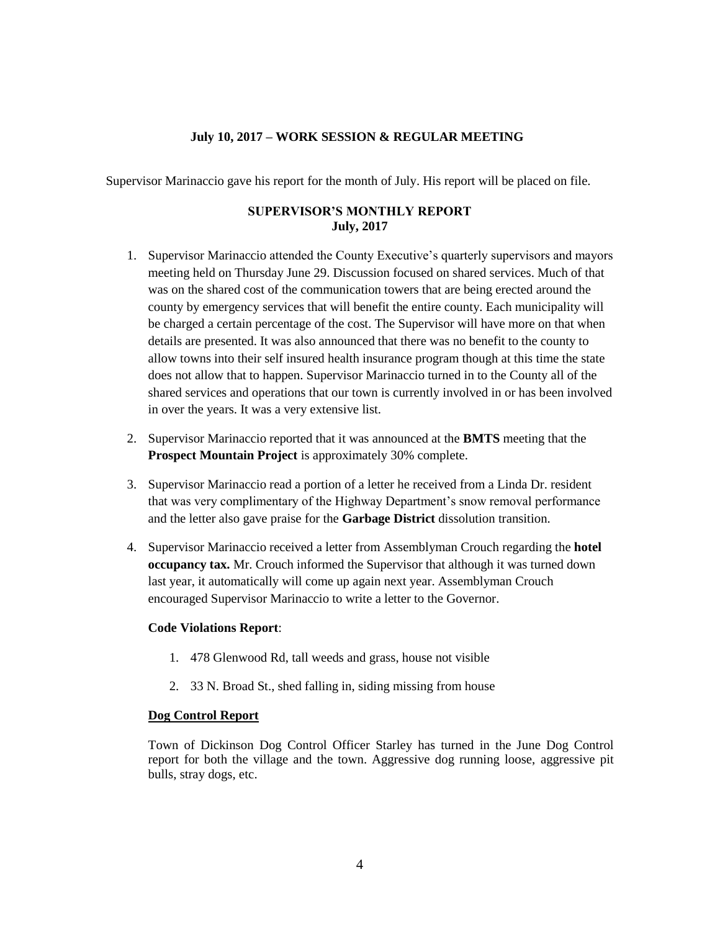Supervisor Marinaccio gave his report for the month of July. His report will be placed on file.

# **SUPERVISOR'S MONTHLY REPORT July, 2017**

- 1. Supervisor Marinaccio attended the County Executive's quarterly supervisors and mayors meeting held on Thursday June 29. Discussion focused on shared services. Much of that was on the shared cost of the communication towers that are being erected around the county by emergency services that will benefit the entire county. Each municipality will be charged a certain percentage of the cost. The Supervisor will have more on that when details are presented. It was also announced that there was no benefit to the county to allow towns into their self insured health insurance program though at this time the state does not allow that to happen. Supervisor Marinaccio turned in to the County all of the shared services and operations that our town is currently involved in or has been involved in over the years. It was a very extensive list.
- 2. Supervisor Marinaccio reported that it was announced at the **BMTS** meeting that the **Prospect Mountain Project** is approximately 30% complete.
- 3. Supervisor Marinaccio read a portion of a letter he received from a Linda Dr. resident that was very complimentary of the Highway Department's snow removal performance and the letter also gave praise for the **Garbage District** dissolution transition.
- 4. Supervisor Marinaccio received a letter from Assemblyman Crouch regarding the **hotel occupancy tax.** Mr. Crouch informed the Supervisor that although it was turned down last year, it automatically will come up again next year. Assemblyman Crouch encouraged Supervisor Marinaccio to write a letter to the Governor.

#### **Code Violations Report**:

- 1. 478 Glenwood Rd, tall weeds and grass, house not visible
- 2. 33 N. Broad St., shed falling in, siding missing from house

#### **Dog Control Report**

Town of Dickinson Dog Control Officer Starley has turned in the June Dog Control report for both the village and the town. Aggressive dog running loose, aggressive pit bulls, stray dogs, etc.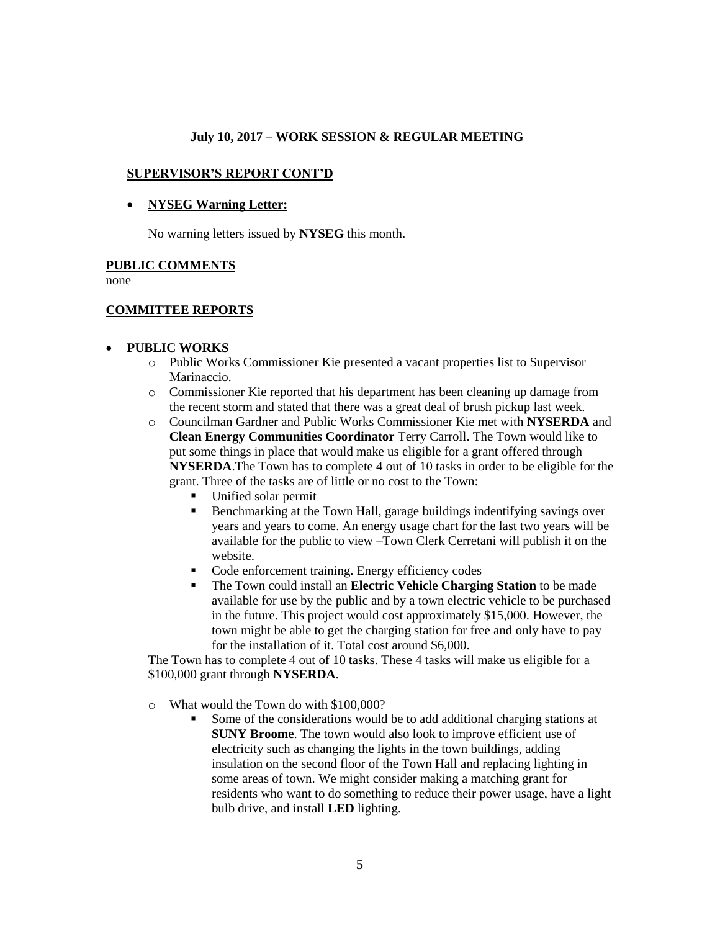### **SUPERVISOR'S REPORT CONT'D**

### **NYSEG Warning Letter:**

No warning letters issued by **NYSEG** this month.

#### **PUBLIC COMMENTS**

none

## **COMMITTEE REPORTS**

#### **PUBLIC WORKS**

- o Public Works Commissioner Kie presented a vacant properties list to Supervisor Marinaccio.
- o Commissioner Kie reported that his department has been cleaning up damage from the recent storm and stated that there was a great deal of brush pickup last week.
- o Councilman Gardner and Public Works Commissioner Kie met with **NYSERDA** and **Clean Energy Communities Coordinator** Terry Carroll. The Town would like to put some things in place that would make us eligible for a grant offered through **NYSERDA**.The Town has to complete 4 out of 10 tasks in order to be eligible for the grant. Three of the tasks are of little or no cost to the Town:
	- Unified solar permit
	- **Benchmarking at the Town Hall, garage buildings indentifying savings over** years and years to come. An energy usage chart for the last two years will be available for the public to view –Town Clerk Cerretani will publish it on the website.
	- Code enforcement training. Energy efficiency codes
	- The Town could install an **Electric Vehicle Charging Station** to be made available for use by the public and by a town electric vehicle to be purchased in the future. This project would cost approximately \$15,000. However, the town might be able to get the charging station for free and only have to pay for the installation of it. Total cost around \$6,000.

The Town has to complete 4 out of 10 tasks. These 4 tasks will make us eligible for a \$100,000 grant through **NYSERDA**.

o What would the Town do with \$100,000?

 Some of the considerations would be to add additional charging stations at **SUNY Broome**. The town would also look to improve efficient use of electricity such as changing the lights in the town buildings, adding insulation on the second floor of the Town Hall and replacing lighting in some areas of town. We might consider making a matching grant for residents who want to do something to reduce their power usage, have a light bulb drive, and install **LED** lighting.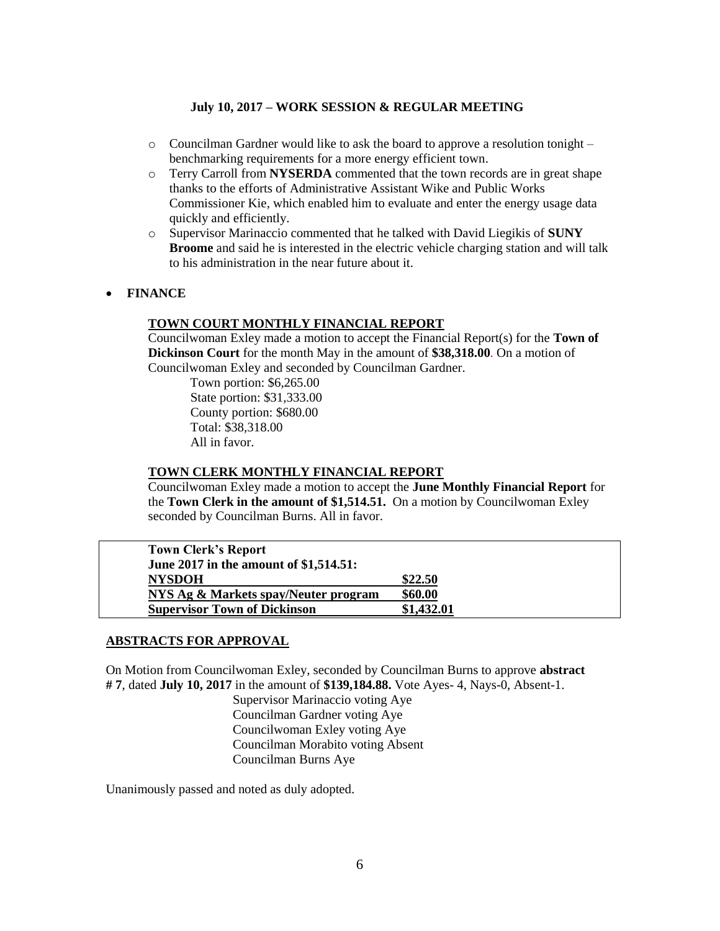- $\circ$  Councilman Gardner would like to ask the board to approve a resolution tonight benchmarking requirements for a more energy efficient town.
- o Terry Carroll from **NYSERDA** commented that the town records are in great shape thanks to the efforts of Administrative Assistant Wike and Public Works Commissioner Kie, which enabled him to evaluate and enter the energy usage data quickly and efficiently.
- o Supervisor Marinaccio commented that he talked with David Liegikis of **SUNY Broome** and said he is interested in the electric vehicle charging station and will talk to his administration in the near future about it.
- **FINANCE**

# **TOWN COURT MONTHLY FINANCIAL REPORT**

Councilwoman Exley made a motion to accept the Financial Report(s) for the **Town of Dickinson Court** for the month May in the amount of **\$38,318.00**. On a motion of Councilwoman Exley and seconded by Councilman Gardner.

 Town portion: \$6,265.00 State portion: \$31,333.00 County portion: \$680.00 Total: \$38,318.00 All in favor.

### **TOWN CLERK MONTHLY FINANCIAL REPORT**

Councilwoman Exley made a motion to accept the **June Monthly Financial Report** for the **Town Clerk in the amount of \$1,514.51.** On a motion by Councilwoman Exley seconded by Councilman Burns. All in favor.

| <b>Town Clerk's Report</b>             |            |
|----------------------------------------|------------|
| June 2017 in the amount of \$1,514.51: |            |
| <b>NYSDOH</b>                          | \$22.50    |
| NYS Ag & Markets spay/Neuter program   | \$60.00    |
| <b>Supervisor Town of Dickinson</b>    | \$1,432.01 |

#### **ABSTRACTS FOR APPROVAL**

On Motion from Councilwoman Exley, seconded by Councilman Burns to approve **abstract # 7**, dated **July 10, 2017** in the amount of **\$139,184.88.** Vote Ayes- 4, Nays-0, Absent-1.

> Supervisor Marinaccio voting Aye Councilman Gardner voting Aye Councilwoman Exley voting Aye Councilman Morabito voting Absent Councilman Burns Aye

Unanimously passed and noted as duly adopted.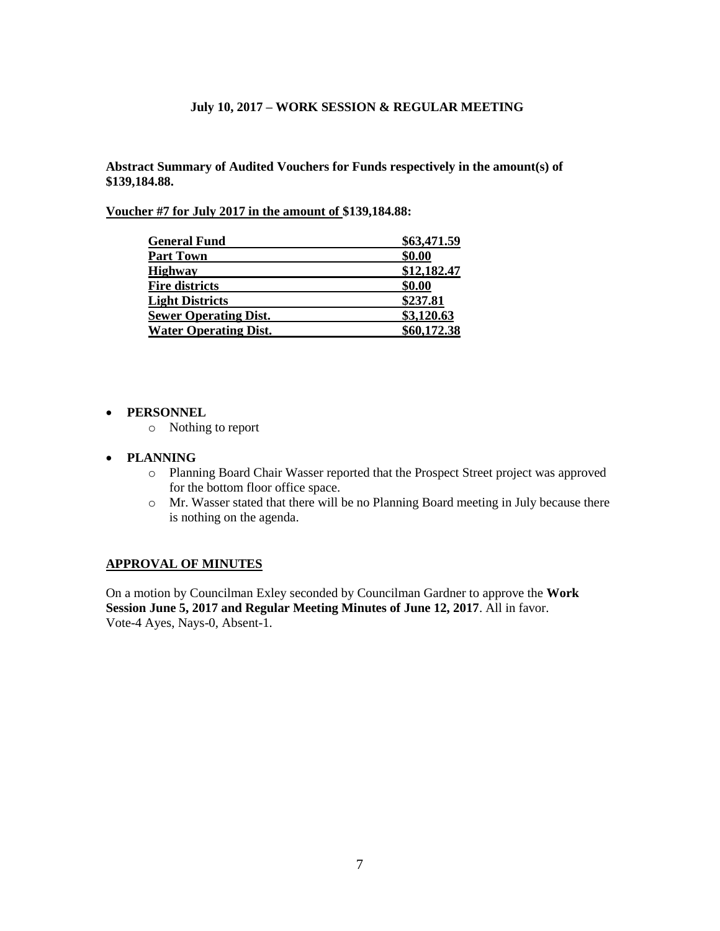**Abstract Summary of Audited Vouchers for Funds respectively in the amount(s) of \$139,184.88.** 

**Voucher #7 for July 2017 in the amount of \$139,184.88:** 

| <b>General Fund</b>          | \$63,471.59 |
|------------------------------|-------------|
| <b>Part Town</b>             | \$0.00      |
| <b>Highway</b>               | \$12,182.47 |
| <b>Fire districts</b>        | \$0.00      |
| <b>Light Districts</b>       | \$237.81    |
| <b>Sewer Operating Dist.</b> | \$3,120.63  |
| <b>Water Operating Dist.</b> | \$60,172.38 |

#### **PERSONNEL**

o Nothing to report

#### **PLANNING**

- o Planning Board Chair Wasser reported that the Prospect Street project was approved for the bottom floor office space.
- o Mr. Wasser stated that there will be no Planning Board meeting in July because there is nothing on the agenda.

## **APPROVAL OF MINUTES**

On a motion by Councilman Exley seconded by Councilman Gardner to approve the **Work Session June 5, 2017 and Regular Meeting Minutes of June 12, 2017**. All in favor. Vote-4 Ayes, Nays-0, Absent-1.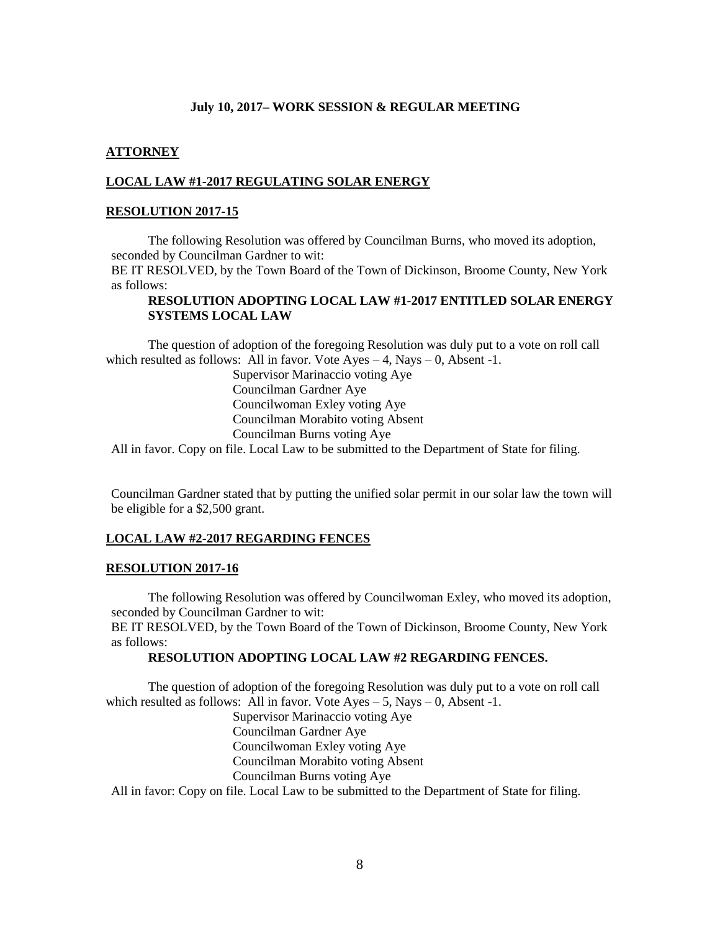## **ATTORNEY**

## **LOCAL LAW #1-2017 REGULATING SOLAR ENERGY**

#### **RESOLUTION 2017-15**

The following Resolution was offered by Councilman Burns, who moved its adoption, seconded by Councilman Gardner to wit:

BE IT RESOLVED, by the Town Board of the Town of Dickinson, Broome County, New York as follows:

# **RESOLUTION ADOPTING LOCAL LAW #1-2017 ENTITLED SOLAR ENERGY SYSTEMS LOCAL LAW**

The question of adoption of the foregoing Resolution was duly put to a vote on roll call which resulted as follows: All in favor. Vote  $Ayes - 4$ , Nays  $- 0$ , Absent -1.

> Supervisor Marinaccio voting Aye Councilman Gardner Aye Councilwoman Exley voting Aye Councilman Morabito voting Absent Councilman Burns voting Aye

All in favor. Copy on file. Local Law to be submitted to the Department of State for filing.

Councilman Gardner stated that by putting the unified solar permit in our solar law the town will be eligible for a \$2,500 grant.

#### **LOCAL LAW #2-2017 REGARDING FENCES**

#### **RESOLUTION 2017-16**

The following Resolution was offered by Councilwoman Exley, who moved its adoption, seconded by Councilman Gardner to wit:

BE IT RESOLVED, by the Town Board of the Town of Dickinson, Broome County, New York as follows:

## **RESOLUTION ADOPTING LOCAL LAW #2 REGARDING FENCES.**

The question of adoption of the foregoing Resolution was duly put to a vote on roll call which resulted as follows: All in favor. Vote  $Ayes - 5$ , Nays  $- 0$ , Absent -1.

> Supervisor Marinaccio voting Aye Councilman Gardner Aye Councilwoman Exley voting Aye Councilman Morabito voting Absent Councilman Burns voting Aye

All in favor: Copy on file. Local Law to be submitted to the Department of State for filing.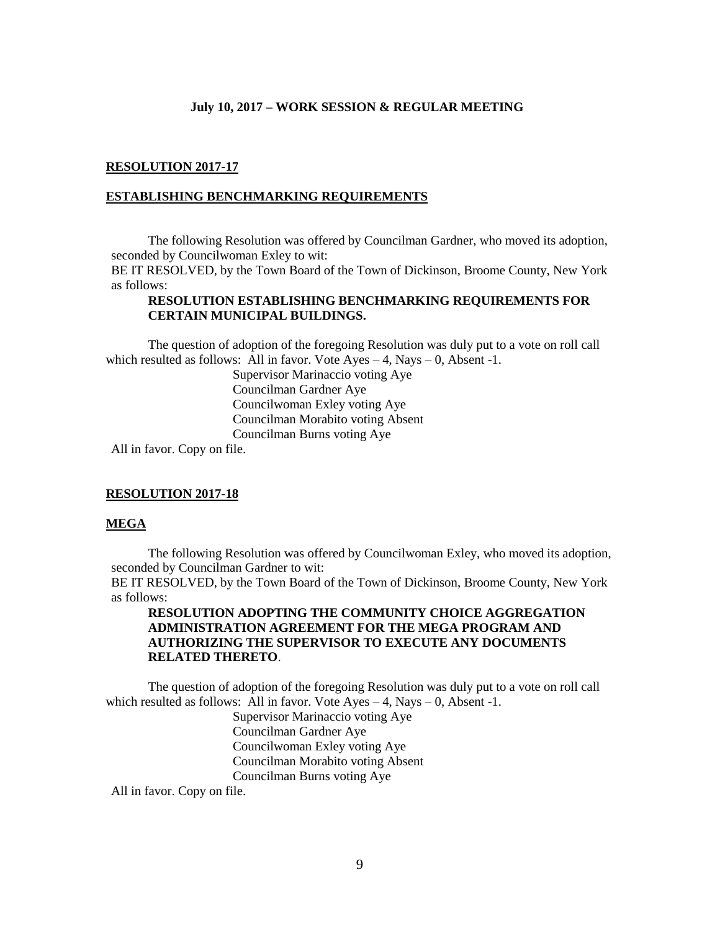#### **RESOLUTION 2017-17**

#### **ESTABLISHING BENCHMARKING REQUIREMENTS**

The following Resolution was offered by Councilman Gardner, who moved its adoption, seconded by Councilwoman Exley to wit:

BE IT RESOLVED, by the Town Board of the Town of Dickinson, Broome County, New York as follows:

### **RESOLUTION ESTABLISHING BENCHMARKING REQUIREMENTS FOR CERTAIN MUNICIPAL BUILDINGS.**

The question of adoption of the foregoing Resolution was duly put to a vote on roll call which resulted as follows: All in favor. Vote  $Ayes - 4$ , Nays  $- 0$ , Absent -1.

> Supervisor Marinaccio voting Aye Councilman Gardner Aye Councilwoman Exley voting Aye Councilman Morabito voting Absent Councilman Burns voting Aye

All in favor. Copy on file.

#### **RESOLUTION 2017-18**

### **MEGA**

The following Resolution was offered by Councilwoman Exley, who moved its adoption, seconded by Councilman Gardner to wit:

BE IT RESOLVED, by the Town Board of the Town of Dickinson, Broome County, New York as follows:

## **RESOLUTION ADOPTING THE COMMUNITY CHOICE AGGREGATION ADMINISTRATION AGREEMENT FOR THE MEGA PROGRAM AND AUTHORIZING THE SUPERVISOR TO EXECUTE ANY DOCUMENTS RELATED THERETO**.

The question of adoption of the foregoing Resolution was duly put to a vote on roll call which resulted as follows: All in favor. Vote  $Ayes - 4$ , Nays  $- 0$ , Absent -1.

> Supervisor Marinaccio voting Aye Councilman Gardner Aye Councilwoman Exley voting Aye Councilman Morabito voting Absent Councilman Burns voting Aye

All in favor. Copy on file.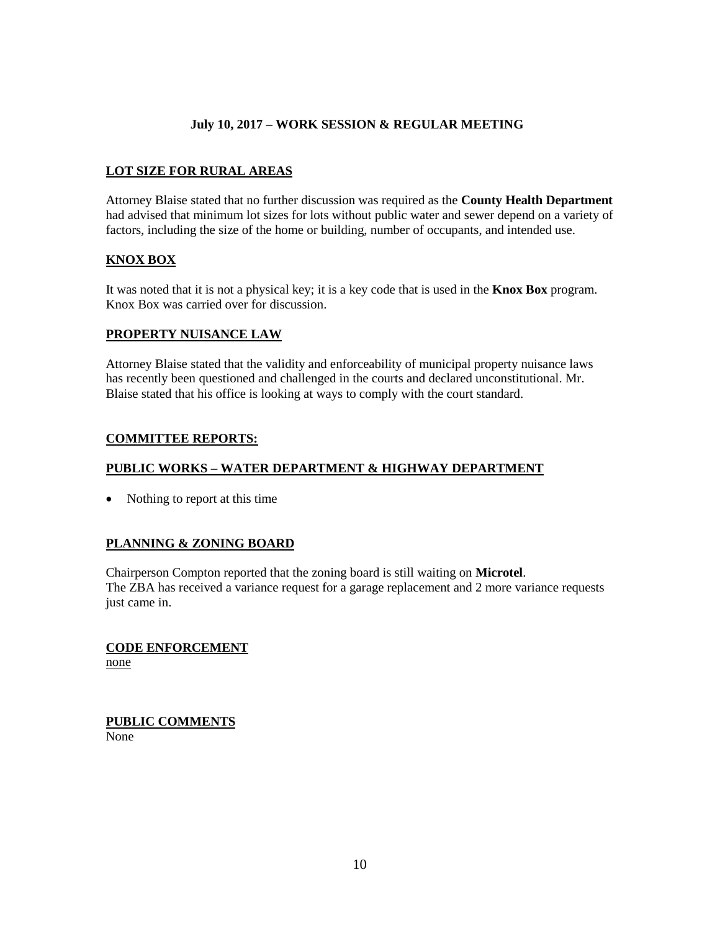# **LOT SIZE FOR RURAL AREAS**

Attorney Blaise stated that no further discussion was required as the **County Health Department** had advised that minimum lot sizes for lots without public water and sewer depend on a variety of factors, including the size of the home or building, number of occupants, and intended use.

# **KNOX BOX**

It was noted that it is not a physical key; it is a key code that is used in the **Knox Box** program. Knox Box was carried over for discussion.

# **PROPERTY NUISANCE LAW**

Attorney Blaise stated that the validity and enforceability of municipal property nuisance laws has recently been questioned and challenged in the courts and declared unconstitutional. Mr. Blaise stated that his office is looking at ways to comply with the court standard.

# **COMMITTEE REPORTS:**

# **PUBLIC WORKS – WATER DEPARTMENT & HIGHWAY DEPARTMENT**

• Nothing to report at this time

# **PLANNING & ZONING BOARD**

Chairperson Compton reported that the zoning board is still waiting on **Microtel**. The ZBA has received a variance request for a garage replacement and 2 more variance requests just came in.

**CODE ENFORCEMENT**  none

**PUBLIC COMMENTS** None